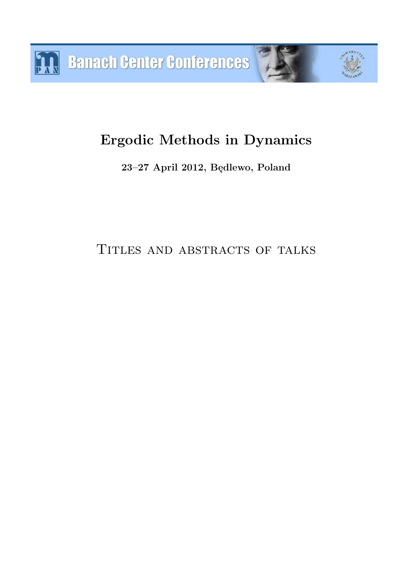# **Ergodic Methods in Dynamics**

**23–27 April 2012, Będlewo, Poland**

TITLES AND ABSTRACTS OF TALKS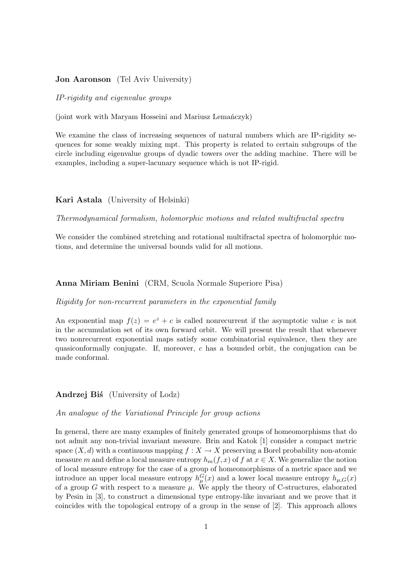## **Jon Aaronson** (Tel Aviv University)

*IP-rigidity and eigenvalue groups*

(joint work with Maryam Hosseini and Mariusz Lemańczyk)

We examine the class of increasing sequences of natural numbers which are IP-rigidity sequences for some weakly mixing mpt. This property is related to certain subgroups of the circle including eigenvalue groups of dyadic towers over the adding machine. There will be examples, including a super-lacunary sequence which is not IP-rigid.

## **Kari Astala** (University of Helsinki)

*Thermodynamical formalism, holomorphic motions and related multifractal spectra*

We consider the combined stretching and rotational multifractal spectra of holomorphic motions, and determine the universal bounds valid for all motions.

## **Anna Miriam Benini** (CRM, Scuola Normale Superiore Pisa)

*Rigidity for non-recurrent parameters in the exponential family*

An exponential map  $f(z) = e^z + c$  is called nonrecurrent if the asymptotic value c is not in the accumulation set of its own forward orbit. We will present the result that whenever two nonrecurrent exponential maps satisfy some combinatorial equivalence, then they are quasiconformally conjugate. If, moreover, c has a bounded orbit, the conjugation can be made conformal.

**Andrzej Biś** (University of Lodz)

*An analogue of the Variational Principle for group actions*

In general, there are many examples of finitely generated groups of homeomorphisms that do not admit any non-trivial invariant measure. Brin and Katok [1] consider a compact metric space  $(X, d)$  with a continuous mapping  $f : X \to X$  preserving a Borel probability non-atomic measure m and define a local measure entropy  $h_m(f, x)$  of f at  $x \in X$ . We generalize the notion of local measure entropy for the case of a group of homeomorphisms of a metric space and we introduce an upper local measure entropy  $h_{\mu}^{G}(x)$  and a lower local measure entropy  $h_{\mu,G}(x)$ of a group G with respect to a measure  $\mu$ . We apply the theory of C-structures, elaborated by Pesin in [3], to construct a dimensional type entropy-like invariant and we prove that it coincides with the topological entropy of a group in the sense of [2]. This approach allows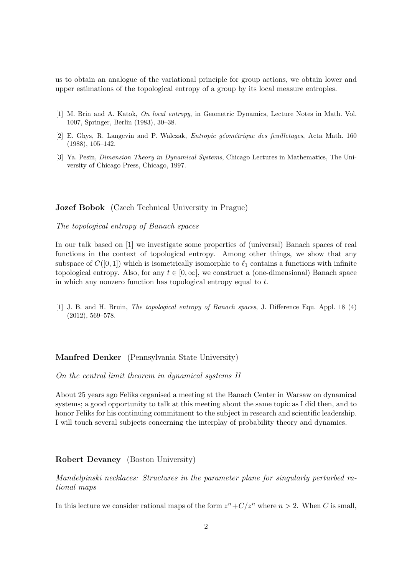us to obtain an analogue of the variational principle for group actions, we obtain lower and upper estimations of the topological entropy of a group by its local measure entropies.

- [1] M. Brin and A. Katok, *On local entropy*, in Geometric Dynamics, Lecture Notes in Math. Vol. 1007, Springer, Berlin (1983), 30–38.
- [2] E. Ghys, R. Langevin and P. Walczak, *Entropie g´eom´etrique des feuilletages*, Acta Math. 160 (1988), 105–142.
- [3] Ya. Pesin, *Dimension Theory in Dynamical Systems*, Chicago Lectures in Mathematics, The University of Chicago Press, Chicago, 1997.

**Jozef Bobok** (Czech Technical University in Prague)

*The topological entropy of Banach spaces*

In our talk based on [1] we investigate some properties of (universal) Banach spaces of real functions in the context of topological entropy. Among other things, we show that any subspace of  $C([0, 1])$  which is isometrically isomorphic to  $\ell_1$  contains a functions with infinite topological entropy. Also, for any  $t \in [0, \infty]$ , we construct a (one-dimensional) Banach space in which any nonzero function has topological entropy equal to t.

[1] J. B. and H. Bruin, *The topological entropy of Banach spaces*, J. Difference Equ. Appl. 18 (4) (2012), 569–578.

## **Manfred Denker** (Pennsylvania State University)

*On the central limit theorem in dynamical systems II*

About 25 years ago Feliks organised a meeting at the Banach Center in Warsaw on dynamical systems; a good opportunity to talk at this meeting about the same topic as I did then, and to honor Feliks for his continuing commitment to the subject in research and scientific leadership. I will touch several subjects concerning the interplay of probability theory and dynamics.

## **Robert Devaney** (Boston University)

*Mandelpinski necklaces: Structures in the parameter plane for singularly perturbed rational maps*

In this lecture we consider rational maps of the form  $z^n + C/z^n$  where  $n > 2$ . When C is small,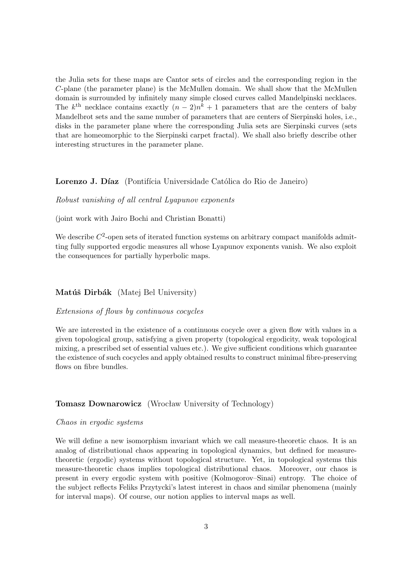the Julia sets for these maps are Cantor sets of circles and the corresponding region in the C-plane (the parameter plane) is the McMullen domain. We shall show that the McMullen domain is surrounded by infinitely many simple closed curves called Mandelpinski necklaces. The  $k^{\text{th}}$  necklace contains exactly  $(n-2)n^k + 1$  parameters that are the centers of baby Mandelbrot sets and the same number of parameters that are centers of Sierpinski holes, i.e., disks in the parameter plane where the corresponding Julia sets are Sierpinski curves (sets that are homeomorphic to the Sierpinski carpet fractal). We shall also briefly describe other interesting structures in the parameter plane.

## **Lorenzo J. Díaz** (Pontifícia Universidade Católica do Rio de Janeiro)

*Robust vanishing of all central Lyapunov exponents*

(joint work with Jairo Bochi and Christian Bonatti)

We describe  $C^2$ -open sets of iterated function systems on arbitrary compact manifolds admitting fully supported ergodic measures all whose Lyapunov exponents vanish. We also exploit the consequences for partially hyperbolic maps.

## **Matúš Dirbák** (Matej Bel University)

# *Extensions of flows by continuous cocycles*

We are interested in the existence of a continuous cocycle over a given flow with values in a given topological group, satisfying a given property (topological ergodicity, weak topological mixing, a prescribed set of essential values etc.). We give sufficient conditions which guarantee the existence of such cocycles and apply obtained results to construct minimal fibre-preserving flows on fibre bundles.

## **Tomasz Downarowicz** (Wrocław University of Technology)

#### *Chaos in ergodic systems*

We will define a new isomorphism invariant which we call measure-theoretic chaos. It is an analog of distributional chaos appearing in topological dynamics, but defined for measuretheoretic (ergodic) systems without topological structure. Yet, in topological systems this measure-theoretic chaos implies topological distributional chaos. Moreover, our chaos is present in every ergodic system with positive (Kolmogorov–Sinai) entropy. The choice of the subject reflects Feliks Przytycki's latest interest in chaos and similar phenomena (mainly for interval maps). Of course, our notion applies to interval maps as well.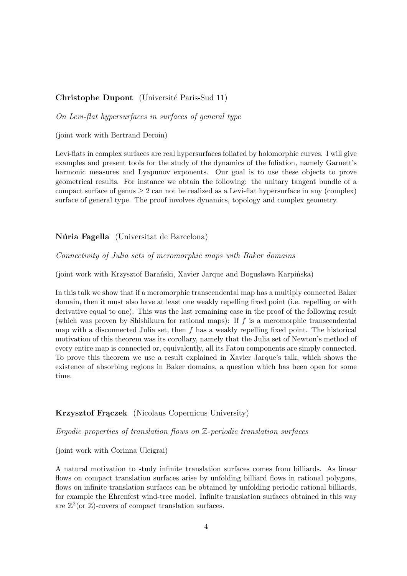# **Christophe Dupont** (Université Paris-Sud 11)

*On Levi-flat hypersurfaces in surfaces of general type*

(joint work with Bertrand Deroin)

Levi-flats in complex surfaces are real hypersurfaces foliated by holomorphic curves. I will give examples and present tools for the study of the dynamics of the foliation, namely Garnett's harmonic measures and Lyapunov exponents. Our goal is to use these objects to prove geometrical results. For instance we obtain the following: the unitary tangent bundle of a compact surface of genus  $\geq 2$  can not be realized as a Levi-flat hypersurface in any (complex) surface of general type. The proof involves dynamics, topology and complex geometry.

**Núria Fagella** (Universitat de Barcelona)

*Connectivity of Julia sets of meromorphic maps with Baker domains*

(joint work with Krzysztof Barański, Xavier Jarque and Bogusława Karpińska)

In this talk we show that if a meromorphic transcendental map has a multiply connected Baker domain, then it must also have at least one weakly repelling fixed point (i.e. repelling or with derivative equal to one). This was the last remaining case in the proof of the following result (which was proven by Shishikura for rational maps): If f is a meromorphic transcendental map with a disconnected Julia set, then  $f$  has a weakly repelling fixed point. The historical motivation of this theorem was its corollary, namely that the Julia set of Newton's method of every entire map is connected or, equivalently, all its Fatou components are simply connected. To prove this theorem we use a result explained in Xavier Jarque's talk, which shows the existence of absorbing regions in Baker domains, a question which has been open for some time.

#### **Krzysztof Frączek** (Nicolaus Copernicus University)

*Ergodic properties of translation flows on* Z*-periodic translation surfaces*

(joint work with Corinna Ulcigrai)

A natural motivation to study infinite translation surfaces comes from billiards. As linear flows on compact translation surfaces arise by unfolding billiard flows in rational polygons, flows on infinite translation surfaces can be obtained by unfolding periodic rational billiards, for example the Ehrenfest wind-tree model. Infinite translation surfaces obtained in this way are  $\mathbb{Z}^2$  (or  $\mathbb{Z}$ )-covers of compact translation surfaces.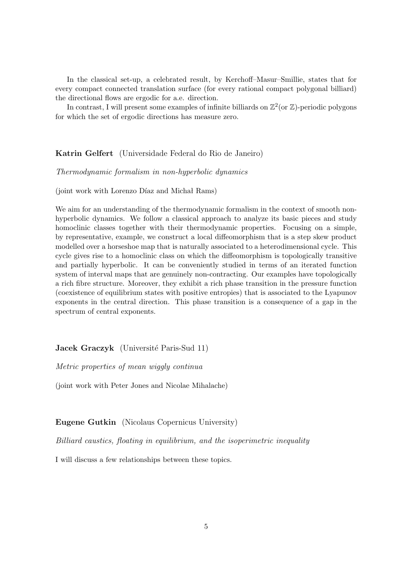In the classical set-up, a celebrated result, by Kerchoff–Masur–Smillie, states that for every compact connected translation surface (for every rational compact polygonal billiard) the directional flows are ergodic for a.e. direction.

In contrast, I will present some examples of infinite billiards on  $\mathbb{Z}^2$  (or  $\mathbb{Z}$ )-periodic polygons for which the set of ergodic directions has measure zero.

**Katrin Gelfert** (Universidade Federal do Rio de Janeiro)

*Thermodynamic formalism in non-hyperbolic dynamics*

(joint work with Lorenzo Díaz and Michał Rams)

We aim for an understanding of the thermodynamic formalism in the context of smooth nonhyperbolic dynamics. We follow a classical approach to analyze its basic pieces and study homoclinic classes together with their thermodynamic properties. Focusing on a simple, by representative, example, we construct a local diffeomorphism that is a step skew product modelled over a horseshoe map that is naturally associated to a heterodimensional cycle. This cycle gives rise to a homoclinic class on which the diffeomorphism is topologically transitive and partially hyperbolic. It can be conveniently studied in terms of an iterated function system of interval maps that are genuinely non-contracting. Our examples have topologically a rich fibre structure. Moreover, they exhibit a rich phase transition in the pressure function (coexistence of equilibrium states with positive entropies) that is associated to the Lyapunov exponents in the central direction. This phase transition is a consequence of a gap in the spectrum of central exponents.

# **Jacek Graczyk** (Université Paris-Sud 11)

*Metric properties of mean wiggly continua*

(joint work with Peter Jones and Nicolae Mihalache)

**Eugene Gutkin** (Nicolaus Copernicus University)

*Billiard caustics, floating in equilibrium, and the isoperimetric inequality*

I will discuss a few relationships between these topics.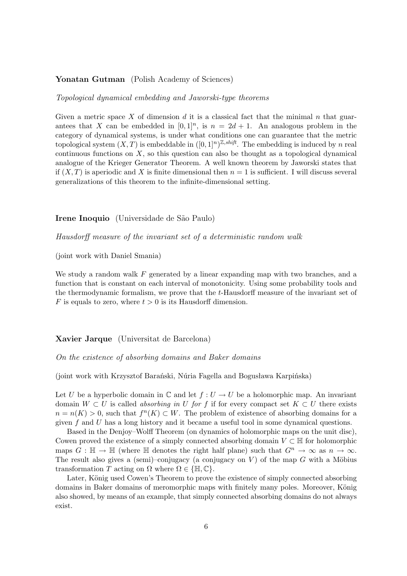## **Yonatan Gutman** (Polish Academy of Sciences)

#### *Topological dynamical embedding and Jaworski-type theorems*

Given a metric space X of dimension d it is a classical fact that the minimal n that guarantees that X can be embedded in  $[0,1]^n$ , is  $n = 2d + 1$ . An analogous problem in the category of dynamical systems, is under what conditions one can guarantee that the metric topological system  $(X, T)$  is embeddable in  $([0, 1]^n)^{\mathbb{Z}, shift}$ . The embedding is induced by n real continuous functions on  $X$ , so this question can also be thought as a topological dynamical analogue of the Krieger Generator Theorem. A well known theorem by Jaworski states that if  $(X, T)$  is aperiodic and X is finite dimensional then  $n = 1$  is sufficient. I will discuss several generalizations of this theorem to the infinite-dimensional setting.

#### **Irene Inoquio** (Universidade de São Paulo)

*Hausdorff measure of the invariant set of a deterministic random walk*

(joint work with Daniel Smania)

We study a random walk  $F$  generated by a linear expanding map with two branches, and a function that is constant on each interval of monotonicity. Using some probability tools and the thermodynamic formalism, we prove that the t-Hausdorff measure of the invariant set of F is equals to zero, where  $t > 0$  is its Hausdorff dimension.

## **Xavier Jarque** (Universitat de Barcelona)

*On the existence of absorbing domains and Baker domains*

(joint work with Krzysztof Barański, N´uria Fagella and Bogusława Karpińska)

Let U be a hyperbolic domain in  $\mathbb C$  and let  $f: U \to U$  be a holomorphic map. An invariant domain  $W \subset U$  is called *absorbing in* U for f if for every compact set  $K \subset U$  there exists  $n = n(K) > 0$ , such that  $f^{n}(K) \subset W$ . The problem of existence of absorbing domains for a given  $f$  and  $U$  has a long history and it became a useful tool in some dynamical questions.

Based in the Denjoy–Wolff Theorem (on dynamics of holomorphic maps on the unit disc), Cowen proved the existence of a simply connected absorbing domain  $V \subset \mathbb{H}$  for holomorphic maps  $G : \mathbb{H} \to \mathbb{H}$  (where  $\mathbb{H}$  denotes the right half plane) such that  $G^n \to \infty$  as  $n \to \infty$ . The result also gives a (semi)–conjugacy (a conjugacy on  $V$ ) of the map  $G$  with a Möbius transformation T acting on  $\Omega$  where  $\Omega \in \{ \mathbb{H}, \mathbb{C} \}.$ 

Later, König used Cowen's Theorem to prove the existence of simply connected absorbing domains in Baker domains of meromorphic maps with finitely many poles. Moreover, König also showed, by means of an example, that simply connected absorbing domains do not always exist.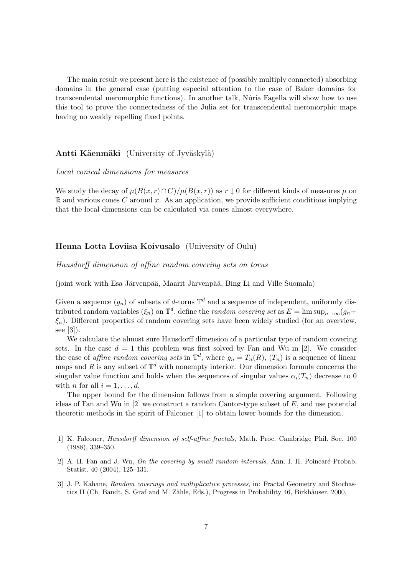The main result we present here is the existence of (possibly multiply connected) absorbing domains in the general case (putting especial attention to the case of Baker domains for transcendental meromorphic functions). In another talk, Núria Fagella will show how to use this tool to prove the connectedness of the Julia set for transcendental meromorphic maps having no weakly repelling fixed points.

## **Antti Käenmäki** (University of Jyväskylä)

#### *Local conical dimensions for measures*

We study the decay of  $\mu(B(x,r) \cap C)/\mu(B(x,r))$  as  $r \downarrow 0$  for different kinds of measures  $\mu$  on  $\mathbb R$  and various cones C around x. As an application, we provide sufficient conditions implying that the local dimensions can be calculated via cones almost everywhere.

## **Henna Lotta Loviisa Koivusalo** (University of Oulu)

*Hausdorff dimension of affine random covering sets on torus*

(joint work with Esa Järvenpää, Maarit Järvenpää, Bing Li and Ville Suomala)

Given a sequence  $(g_n)$  of subsets of d-torus  $\mathbb{T}^d$  and a sequence of independent, uniformly distributed random variables  $(\xi_n)$  on  $\mathbb{T}^d$ , define the *random covering set* as  $E = \limsup_{n \to \infty} (g_n +$  $\xi_n$ ). Different properties of random covering sets have been widely studied (for an overview, see [3]).

We calculate the almost sure Hausdorff dimension of a particular type of random covering sets. In the case  $d = 1$  this problem was first solved by Fan and Wu in [2]. We consider the case of *affine random covering sets* in  $\mathbb{T}^d$ , where  $g_n = T_n(R)$ ,  $(T_n)$  is a sequence of linear maps and R is any subset of  $\mathbb{T}^d$  with nonempty interior. Our dimension formula concerns the singular value function and holds when the sequences of singular values  $\alpha_i(T_n)$  decrease to 0 with *n* for all  $i = 1, \ldots, d$ .

The upper bound for the dimension follows from a simple covering argument. Following ideas of Fan and Wu in  $[2]$  we construct a random Cantor-type subset of E, and use potential theoretic methods in the spirit of Falconer [1] to obtain lower bounds for the dimension.

- [1] K. Falconer, *Hausdorff dimension of self-affine fractals*, Math. Proc. Cambridge Phil. Soc. 100 (1988), 339–350.
- [2] A. H. Fan and J. Wu, *On the covering by small random intervals*, Ann. I. H. Poincaré Probab. Statist. 40 (2004), 125–131.
- [3] J. P. Kahane, *Random coverings and multiplicative processes*, in: Fractal Geometry and Stochastics II (Ch. Bandt, S. Graf and M. Zähle, Eds.), Progress in Probability 46, Birkhäuser, 2000.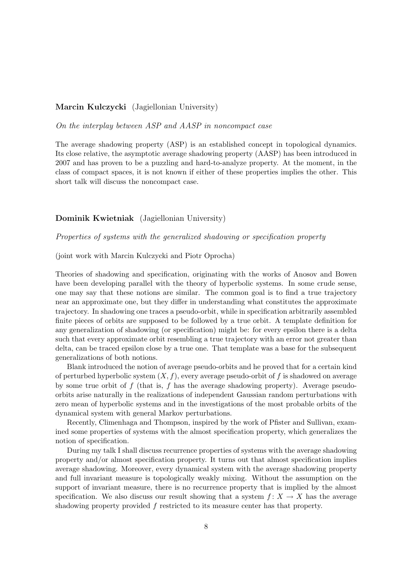## **Marcin Kulczycki** (Jagiellonian University)

*On the interplay between ASP and AASP in noncompact case*

The average shadowing property (ASP) is an established concept in topological dynamics. Its close relative, the asymptotic average shadowing property (AASP) has been introduced in 2007 and has proven to be a puzzling and hard-to-analyze property. At the moment, in the class of compact spaces, it is not known if either of these properties implies the other. This short talk will discuss the noncompact case.

# **Dominik Kwietniak** (Jagiellonian University)

*Properties of systems with the generalized shadowing or specification property*

(joint work with Marcin Kulczycki and Piotr Oprocha)

Theories of shadowing and specification, originating with the works of Anosov and Bowen have been developing parallel with the theory of hyperbolic systems. In some crude sense, one may say that these notions are similar. The common goal is to find a true trajectory near an approximate one, but they differ in understanding what constitutes the approximate trajectory. In shadowing one traces a pseudo-orbit, while in specification arbitrarily assembled finite pieces of orbits are supposed to be followed by a true orbit. A template definition for any generalization of shadowing (or specification) might be: for every epsilon there is a delta such that every approximate orbit resembling a true trajectory with an error not greater than delta, can be traced epsilon close by a true one. That template was a base for the subsequent generalizations of both notions.

Blank introduced the notion of average pseudo-orbits and he proved that for a certain kind of perturbed hyperbolic system  $(X, f)$ , every average pseudo-orbit of f is shadowed on average by some true orbit of  $f$  (that is,  $f$  has the average shadowing property). Average pseudoorbits arise naturally in the realizations of independent Gaussian random perturbations with zero mean of hyperbolic systems and in the investigations of the most probable orbits of the dynamical system with general Markov perturbations.

Recently, Climenhaga and Thompson, inspired by the work of Pfister and Sullivan, examined some properties of systems with the almost specification property, which generalizes the notion of specification.

During my talk I shall discuss recurrence properties of systems with the average shadowing property and/or almost specification property. It turns out that almost specification implies average shadowing. Moreover, every dynamical system with the average shadowing property and full invariant measure is topologically weakly mixing. Without the assumption on the support of invariant measure, there is no recurrence property that is implied by the almost specification. We also discuss our result showing that a system  $f: X \to X$  has the average shadowing property provided f restricted to its measure center has that property.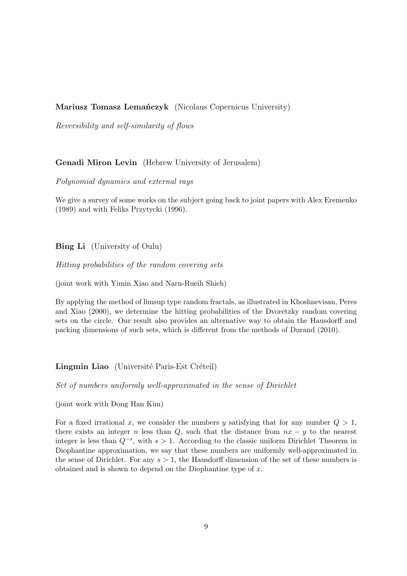**Mariusz Tomasz Lemańczyk** (Nicolaus Copernicus University)

*Reversibility and self-similarity of flows*

# **Genadi Miron Levin** (Hebrew University of Jerusalem)

*Polynomial dynamics and external rays*

We give a survey of some works on the subject going back to joint papers with Alex Eremenko (1989) and with Feliks Przytycki (1996).

**Bing Li** (University of Oulu)

*Hitting probabilities of the random covering sets*

(joint work with Yimin Xiao and Narn-Rueih Shieh)

By applying the method of limsup type random fractals, as illustrated in Khoshnevisan, Peres and Xiao (2000), we determine the hitting probabilities of the Dvoretzky random covering sets on the circle. Our result also provides an alternative way to obtain the Hausdorff and packing dimensions of such sets, which is different from the methods of Durand (2010).

**Lingmin Liao** (Université Paris-Est Créteil)

*Set of numbers uniformly well-approximated in the sense of Dirichlet*

(joint work with Dong Han Kim)

For a fixed irrational x, we consider the numbers y satisfying that for any number  $Q > 1$ , there exists an integer n less than  $Q$ , such that the distance from  $nx - y$  to the nearest integer is less than  $Q^{-s}$ , with  $s > 1$ . According to the classic uniform Dirichlet Theorem in Diophantine approximation, we say that these numbers are uniformly well-approximated in the sense of Dirichlet. For any  $s > 1$ , the Hausdorff dimension of the set of these numbers is obtained and is shown to depend on the Diophantine type of  $x$ .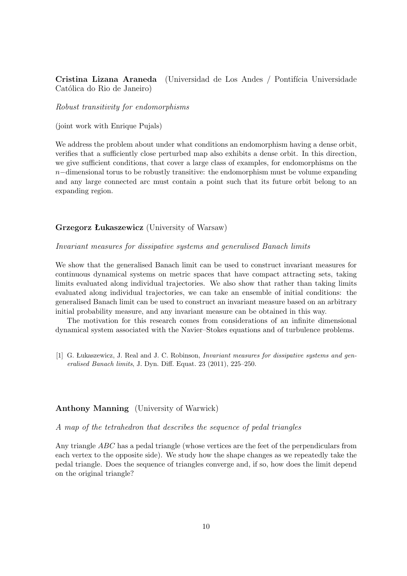# **Cristina Lizana Araneda** (Universidad de Los Andes / Pontifícia Universidade Católica do Rio de Janeiro)

*Robust transitivity for endomorphisms*

(joint work with Enrique Pujals)

We address the problem about under what conditions an endomorphism having a dense orbit, verifies that a sufficiently close perturbed map also exhibits a dense orbit. In this direction, we give sufficient conditions, that cover a large class of examples, for endomorphisms on the  $n-\text{dimensional torus}$  to be robustly transitive: the endomorphism must be volume expanding and any large connected arc must contain a point such that its future orbit belong to an expanding region.

# **Grzegorz Łukaszewicz** (University of Warsaw)

#### *Invariant measures for dissipative systems and generalised Banach limits*

We show that the generalised Banach limit can be used to construct invariant measures for continuous dynamical systems on metric spaces that have compact attracting sets, taking limits evaluated along individual trajectories. We also show that rather than taking limits evaluated along individual trajectories, we can take an ensemble of initial conditions: the generalised Banach limit can be used to construct an invariant measure based on an arbitrary initial probability measure, and any invariant measure can be obtained in this way.

The motivation for this research comes from considerations of an infinite dimensional dynamical system associated with the Navier–Stokes equations and of turbulence problems.

[1] G. Łukaszewicz, J. Real and J. C. Robinson, *Invariant measures for dissipative systems and generalised Banach limits*, J. Dyn. Diff. Equat. 23 (2011), 225–250.

## **Anthony Manning** (University of Warwick)

*A map of the tetrahedron that describes the sequence of pedal triangles*

Any triangle ABC has a pedal triangle (whose vertices are the feet of the perpendiculars from each vertex to the opposite side). We study how the shape changes as we repeatedly take the pedal triangle. Does the sequence of triangles converge and, if so, how does the limit depend on the original triangle?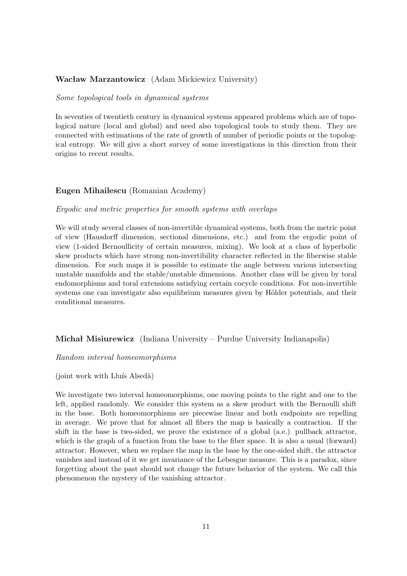# **Wacław Marzantowicz** (Adam Mickiewicz University)

#### *Some topological tools in dynamical systems*

In seventies of twentieth century in dynamical systems appeared problems which are of topological nature (local and global) and need also topological tools to study them. They are connected with estimations of the rate of growth of number of periodic points or the topological entropy. We will give a short survey of some investigations in this direction from their origins to recent results.

# **Eugen Mihailescu** (Romanian Academy)

## *Ergodic and metric properties for smooth systems with overlaps*

We will study several classes of non-invertible dynamical systems, both from the metric point of view (Hausdorff dimension, sectional dimensions, etc.) and from the ergodic point of view (1-sided Bernoullicity of certain measures, mixing). We look at a class of hyperbolic skew products which have strong non-invertibility character reflected in the fiberwise stable dimension. For such maps it is possible to estimate the angle between various intersecting unstable manifolds and the stable/unstable dimensions. Another class will be given by toral endomorphisms and toral extensions satisfying certain cocycle conditions. For non-invertible systems one can investigate also equilibrium measures given by Hölder potentials, and their conditional measures.

## **Michał Misiurewicz** (Indiana University – Purdue University Indianapolis)

## *Random interval homeomorphisms*

 $(joint work with Lluís Alsedà)$ 

We investigate two interval homeomorphisms, one moving points to the right and one to the left, applied randomly. We consider this system as a skew product with the Bernoulli shift in the base. Both homeomorphisms are piecewise linear and both endpoints are repelling in average. We prove that for almost all fibers the map is basically a contraction. If the shift in the base is two-sided, we prove the existence of a global (a.e.) pullback attractor, which is the graph of a function from the base to the fiber space. It is also a usual (forward) attractor. However, when we replace the map in the base by the one-sided shift, the attractor vanishes and instead of it we get invariance of the Lebesgue measure. This is a paradox, since forgetting about the past should not change the future behavior of the system. We call this phenomenon the mystery of the vanishing attractor.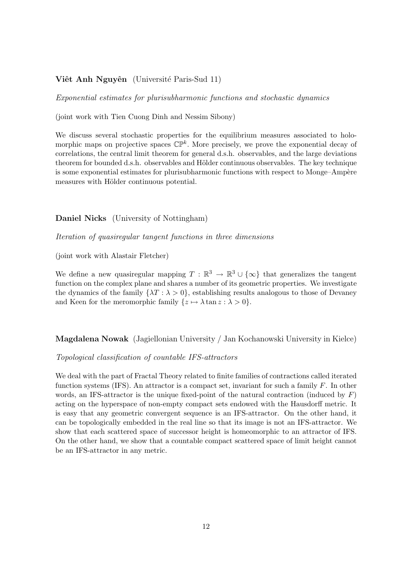## **Viêt Anh Nguyên** (Université Paris-Sud 11)

*Exponential estimates for plurisubharmonic functions and stochastic dynamics*

(joint work with Tien Cuong Dinh and Nessim Sibony)

We discuss several stochastic properties for the equilibrium measures associated to holomorphic maps on projective spaces  $\mathbb{CP}^k$ . More precisely, we prove the exponential decay of correlations, the central limit theorem for general d.s.h. observables, and the large deviations theorem for bounded d.s.h. observables and Hölder continuous observables. The key technique is some exponential estimates for plurisubharmonic functions with respect to Monge–Ampère measures with Hölder continuous potential.

## **Daniel Nicks** (University of Nottingham)

*Iteration of quasiregular tangent functions in three dimensions*

(joint work with Alastair Fletcher)

We define a new quasiregular mapping  $T : \mathbb{R}^3 \to \mathbb{R}^3 \cup {\infty}$  that generalizes the tangent function on the complex plane and shares a number of its geometric properties. We investigate the dynamics of the family  $\{\lambda T : \lambda > 0\}$ , establishing results analogous to those of Devaney and Keen for the meromorphic family  $\{z \mapsto \lambda \tan z : \lambda > 0\}.$ 

**Magdalena Nowak** (Jagiellonian University / Jan Kochanowski University in Kielce)

## *Topological classification of countable IFS-attractors*

We deal with the part of Fractal Theory related to finite families of contractions called iterated function systems  $(IFS)$ . An attractor is a compact set, invariant for such a family  $F$ . In other words, an IFS-attractor is the unique fixed-point of the natural contraction (induced by  $F$ ) acting on the hyperspace of non-empty compact sets endowed with the Hausdorff metric. It is easy that any geometric convergent sequence is an IFS-attractor. On the other hand, it can be topologically embedded in the real line so that its image is not an IFS-attractor. We show that each scattered space of successor height is homeomorphic to an attractor of IFS. On the other hand, we show that a countable compact scattered space of limit height cannot be an IFS-attractor in any metric.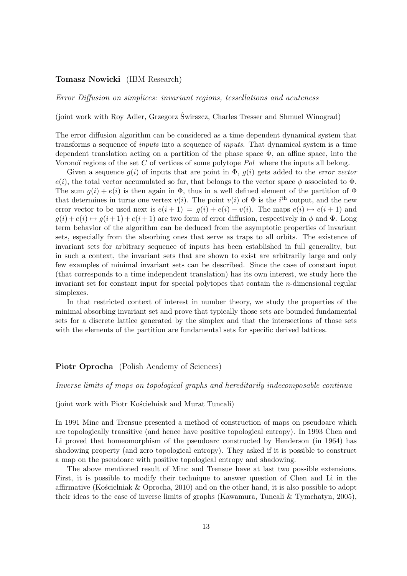## **Tomasz Nowicki** (IBM Research)

*Error Diffusion on simplices: invariant regions, tessellations and acuteness*

(joint work with Roy Adler, Grzegorz Świrszcz, Charles Tresser and Shmuel Winograd)

The error diffusion algorithm can be considered as a time dependent dynamical system that transforms a sequence of *inputs* into a sequence of *inputs*. That dynamical system is a time dependent translation acting on a partition of the phase space  $\Phi$ , an affine space, into the Voronoï regions of the set C of vertices of some polytope *Pol* where the inputs all belong.

Given a sequence  $g(i)$  of inputs that are point in  $\Phi$ ,  $g(i)$  gets added to the *error vector*  $e(i)$ , the total vector accumulated so far, that belongs to the vector space  $\phi$  associated to  $\Phi$ . The sum  $g(i) + e(i)$  is then again in  $\Phi$ , thus in a well defined element of the partition of  $\Phi$ that determines in turns one vertex  $v(i)$ . The point  $v(i)$  of  $\Phi$  is the i<sup>th</sup> output, and the new error vector to be used next is  $e(i + 1) = g(i) + e(i) - v(i)$ . The maps  $e(i) \mapsto e(i + 1)$  and  $g(i) + e(i) \rightarrow g(i+1) + e(i+1)$  are two form of error diffusion, respectively in  $\phi$  and  $\Phi$ . Long term behavior of the algorithm can be deduced from the asymptotic properties of invariant sets, especially from the absorbing ones that serve as traps to all orbits. The existence of invariant sets for arbitrary sequence of inputs has been established in full generality, but in such a context, the invariant sets that are shown to exist are arbitrarily large and only few examples of minimal invariant sets can be described. Since the case of constant input (that corresponds to a time independent translation) has its own interest, we study here the invariant set for constant input for special polytopes that contain the n-dimensional regular simplexes.

In that restricted context of interest in number theory, we study the properties of the minimal absorbing invariant set and prove that typically those sets are bounded fundamental sets for a discrete lattice generated by the simplex and that the intersections of those sets with the elements of the partition are fundamental sets for specific derived lattices.

#### Piotr Oprocha (Polish Academy of Sciences)

*Inverse limits of maps on topological graphs and hereditarily indecomposable continua*

(joint work with Piotr Kościelniak and Murat Tuncali)

In 1991 Minc and Trensue presented a method of construction of maps on pseudoarc which are topologically transitive (and hence have positive topological entropy). In 1993 Chen and Li proved that homeomorphism of the pseudoarc constructed by Henderson (in 1964) has shadowing property (and zero topological entropy). They asked if it is possible to construct a map on the pseudoarc with positive topological entropy and shadowing.

The above mentioned result of Minc and Trensue have at last two possible extensions. First, it is possible to modify their technique to answer question of Chen and Li in the affirmative (Kościelniak & Oprocha, 2010) and on the other hand, it is also possible to adopt their ideas to the case of inverse limits of graphs (Kawamura, Tuncali & Tymchatyn, 2005),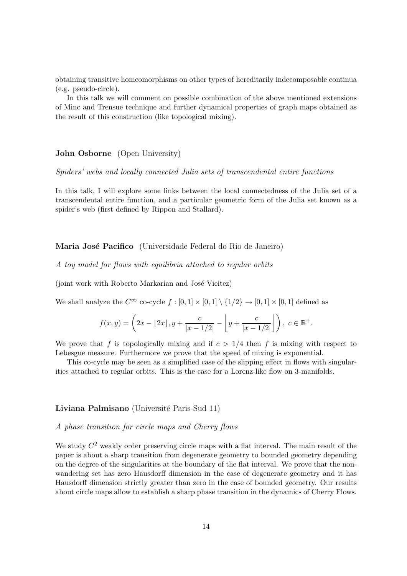obtaining transitive homeomorphisms on other types of hereditarily indecomposable continua (e.g. pseudo-circle).

In this talk we will comment on possible combination of the above mentioned extensions of Minc and Trensue technique and further dynamical properties of graph maps obtained as the result of this construction (like topological mixing).

## **John Osborne** (Open University)

*Spiders' webs and locally connected Julia sets of transcendental entire functions*

In this talk, I will explore some links between the local connectedness of the Julia set of a transcendental entire function, and a particular geometric form of the Julia set known as a spider's web (first defined by Rippon and Stallard).

### **Maria José Pacifico** (Universidade Federal do Rio de Janeiro)

*A toy model for flows with equilibria attached to regular orbits*

(joint work with Roberto Markarian and José Vieitez)

We shall analyze the  $C^{\infty}$  co-cycle  $f : [0,1] \times [0,1] \setminus \{1/2\} \to [0,1] \times [0,1]$  defined as

$$
f(x,y) = \left(2x - \lfloor 2x \rfloor, y + \frac{c}{|x - 1/2|} - \left\lfloor y + \frac{c}{|x - 1/2|} \right\rfloor \right), \ c \in \mathbb{R}^+.
$$

We prove that f is topologically mixing and if  $c > 1/4$  then f is mixing with respect to Lebesgue measure. Furthermore we prove that the speed of mixing is exponential.

This co-cycle may be seen as a simplified case of the slipping effect in flows with singularities attached to regular orbits. This is the case for a Lorenz-like flow on 3-manifolds.

#### **Liviana Palmisano** (Université Paris-Sud 11)

## *A phase transition for circle maps and Cherry flows*

We study  $C^2$  weakly order preserving circle maps with a flat interval. The main result of the paper is about a sharp transition from degenerate geometry to bounded geometry depending on the degree of the singularities at the boundary of the flat interval. We prove that the nonwandering set has zero Hausdorff dimension in the case of degenerate geometry and it has Hausdorff dimension strictly greater than zero in the case of bounded geometry. Our results about circle maps allow to establish a sharp phase transition in the dynamics of Cherry Flows.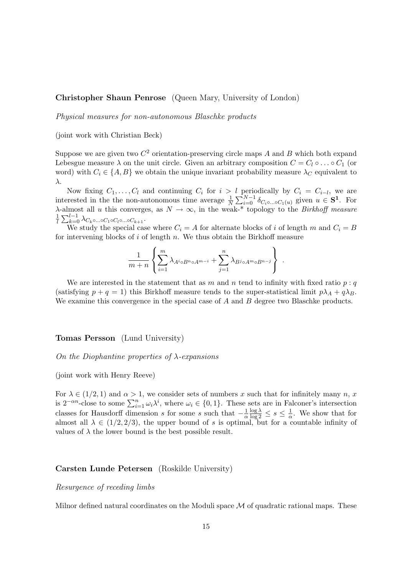## **Christopher Shaun Penrose** (Queen Mary, University of London)

*Physical measures for non-autonomous Blaschke products*

(joint work with Christian Beck)

Suppose we are given two  $C^2$  orientation-preserving circle maps A and B which both expand Lebesgue measure  $\lambda$  on the unit circle. Given an arbitrary composition  $C = C_1 \circ \ldots \circ C_1$  (or word) with  $C_i \in \{A, B\}$  we obtain the unique invariant probability measure  $\lambda_C$  equivalent to λ.

Now fixing  $C_1, \ldots, C_l$  and continuing  $C_i$  for  $i > l$  periodically by  $C_i = C_{i-l}$ , we are interested in the the non-autonomous time average  $\frac{1}{N} \sum_{i=0}^{N-1} \delta_{C_i \circ \dots \circ C_1(u)}$  given  $u \in S^1$ . For  $\lambda$ -almost all u this converges, as  $N \to \infty$ , in the weak-\* topology to the *Birkhoff measure* 1  $\frac{1}{l}\sum_{k=0}^{l-1} \lambda_{C_k \circ \ldots \circ C_1 \circ C_l \circ \ldots \circ C_{k+1}}.$ 

We study the special case where  $C_i = A$  for alternate blocks of i of length m and  $C_i = B$ for intervening blocks of  $i$  of length  $n$ . We thus obtain the Birkhoff measure

$$
\frac{1}{m+n} \left\{ \sum_{i=1}^m \lambda_{A^i \circ B^n \circ A^{m-i}} + \sum_{j=1}^n \lambda_{B^j \circ A^m \circ B^{n-j}} \right\} .
$$

We are interested in the statement that as m and n tend to infinity with fixed ratio  $p : q$ (satisfying  $p + q = 1$ ) this Birkhoff measure tends to the super-statistical limit  $p\lambda_A + q\lambda_B$ . We examine this convergence in the special case of  $A$  and  $B$  degree two Blaschke products.

## **Tomas Persson** (Lund University)

## *On the Diophantine properties of* λ*-expansions*

#### (joint work with Henry Reeve)

For  $\lambda \in (1/2, 1)$  and  $\alpha > 1$ , we consider sets of numbers x such that for infinitely many n, x is  $2^{-\alpha n}$ -close to some  $\sum_{i=1}^{n} \omega_i \lambda^i$ , where  $\omega_i \in \{0, 1\}$ . These sets are in Falconer's intersection classes for Hausdorff dimension s for some s such that  $-\frac{1}{\alpha}$ α  $\frac{\log \lambda}{\log 2} \leq s \leq \frac{1}{\alpha}$  $\frac{1}{\alpha}$ . We show that for almost all  $\lambda \in (1/2, 2/3)$ , the upper bound of s is optimal, but for a countable infinity of values of  $\lambda$  the lower bound is the best possible result.

#### **Carsten Lunde Petersen** (Roskilde University)

## *Resurgence of receding limbs*

Milnor defined natural coordinates on the Moduli space  $\mathcal M$  of quadratic rational maps. These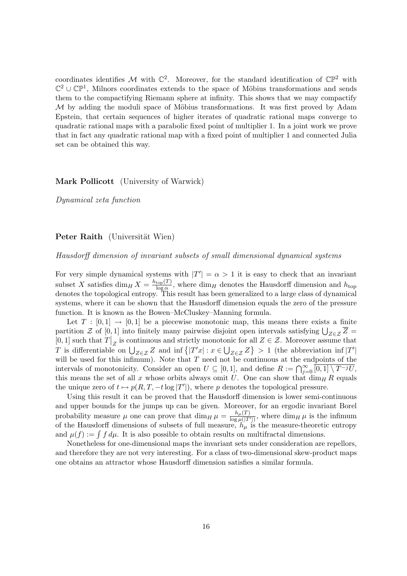coordinates identifies M with  $\mathbb{C}^2$ . Moreover, for the standard identification of  $\mathbb{CP}^2$  with  $\mathbb{C}^2 \cup \mathbb{CP}^1$ , Milnors coordinates extends to the space of Möbius transformations and sends them to the compactifying Riemann sphere at infinity. This shows that we may compactify  $M$  by adding the moduli space of Möbius transformations. It was first proved by Adam Epstein, that certain sequences of higher iterates of quadratic rational maps converge to quadratic rational maps with a parabolic fixed point of multiplier 1. In a joint work we prove that in fact any quadratic rational map with a fixed point of multiplier 1 and connected Julia set can be obtained this way.

## **Mark Pollicott** (University of Warwick)

*Dynamical zeta function*

## **Peter Raith** (Universität Wien)

*Hausdorff dimension of invariant subsets of small dimensional dynamical systems*

For very simple dynamical systems with  $|T'| = \alpha > 1$  it is easy to check that an invariant subset X satisfies  $\dim_H X = \frac{h_{\text{top}}(T)}{\log \alpha}$  $\frac{\text{top}(I)}{\log \alpha}$ , where  $\dim_H$  denotes the Hausdorff dimension and  $h_{\text{top}}$ denotes the topological entropy. This result has been generalized to a large class of dynamical systems, where it can be shown that the Hausdorff dimension equals the zero of the pressure function. It is known as the Bowen–McCluskey–Manning formula.

Let  $T : [0,1] \rightarrow [0,1]$  be a piecewise monotonic map, this means there exists a finite partition  $\mathcal Z$  of  $[0,1]$  into finitely many pairwise disjoint open intervals satisfying  $\bigcup_{Z\in\mathcal Z}\overline{Z}=$ [0, 1] such that  $T|_Z$  is continuous and strictly monotonic for all  $Z \in \mathcal{Z}$ . Moreover assume that T is differentiable on  $\bigcup_{Z\in\mathcal{Z}}Z$  and inf  $\{|T'x| : x\in\bigcup_{Z\in\mathcal{Z}}Z\} > 1$  (the abbreviation inf  $|T'|$ will be used for this infimum). Note that  $T$  need not be continuous at the endpoints of the intervals of monotonicity. Consider an open  $U \subseteq [0,1]$ , and define  $R := \bigcap_{j=0}^{\infty} \overline{[0,1] \setminus T^{-j}U}$ , this means the set of all x whose orbits always omit U. One can show that  $\dim_H R$  equals the unique zero of  $t \mapsto p(R, T, -t \log |T'|)$ , where p denotes the topological pressure.

Using this result it can be proved that the Hausdorff dimension is lower semi-continuous and upper bounds for the jumps up can be given. Moreover, for an ergodic invariant Borel probability measure  $\mu$  one can prove that  $\dim_H \mu = \frac{h_\mu(T)}{\log \mu(T)}$  $\frac{n_{\mu}(T)}{\log \mu(|T'|)}$ , where  $\dim_H \mu$  is the infimum of the Hausdorff dimensions of subsets of full measure,  $h_{\mu}$  is the measure-theoretic entropy and  $\mu(f) := \int f d\mu$ . It is also possible to obtain results on multifractal dimensions.

Nonetheless for one-dimensional maps the invariant sets under consideration are repellors, and therefore they are not very interesting. For a class of two-dimensional skew-product maps one obtains an attractor whose Hausdorff dimension satisfies a similar formula.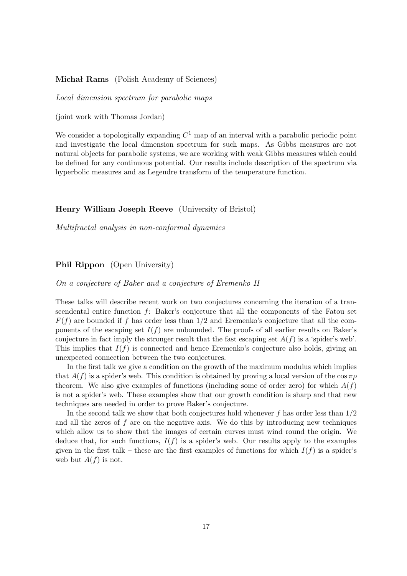## **Michał Rams** (Polish Academy of Sciences)

*Local dimension spectrum for parabolic maps*

(joint work with Thomas Jordan)

We consider a topologically expanding  $C<sup>1</sup>$  map of an interval with a parabolic periodic point and investigate the local dimension spectrum for such maps. As Gibbs measures are not natural objects for parabolic systems, we are working with weak Gibbs measures which could be defined for any continuous potential. Our results include description of the spectrum via hyperbolic measures and as Legendre transform of the temperature function.

#### **Henry William Joseph Reeve** (University of Bristol)

*Multifractal analysis in non-conformal dynamics*

## **Phil Rippon** (Open University)

*On a conjecture of Baker and a conjecture of Eremenko II*

These talks will describe recent work on two conjectures concerning the iteration of a transcendental entire function f: Baker's conjecture that all the components of the Fatou set  $F(f)$  are bounded if f has order less than  $1/2$  and Eremenko's conjecture that all the components of the escaping set  $I(f)$  are unbounded. The proofs of all earlier results on Baker's conjecture in fact imply the stronger result that the fast escaping set  $A(f)$  is a 'spider's web'. This implies that  $I(f)$  is connected and hence Eremenko's conjecture also holds, giving an unexpected connection between the two conjectures.

In the first talk we give a condition on the growth of the maximum modulus which implies that  $A(f)$  is a spider's web. This condition is obtained by proving a local version of the cos  $\pi \rho$ theorem. We also give examples of functions (including some of order zero) for which  $A(f)$ is not a spider's web. These examples show that our growth condition is sharp and that new techniques are needed in order to prove Baker's conjecture.

In the second talk we show that both conjectures hold whenever f has order less than  $1/2$ and all the zeros of  $f$  are on the negative axis. We do this by introducing new techniques which allow us to show that the images of certain curves must wind round the origin. We deduce that, for such functions,  $I(f)$  is a spider's web. Our results apply to the examples given in the first talk – these are the first examples of functions for which  $I(f)$  is a spider's web but  $A(f)$  is not.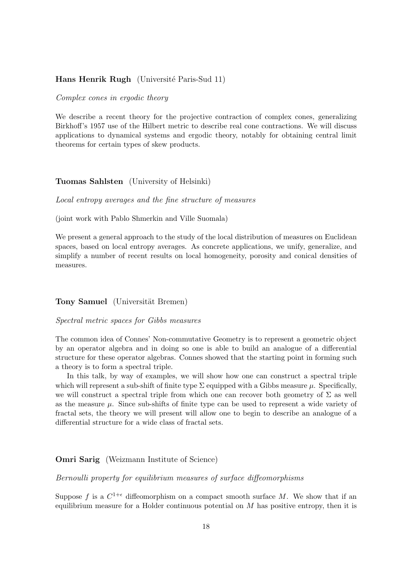## **Hans Henrik Rugh** (Université Paris-Sud 11)

#### *Complex cones in ergodic theory*

We describe a recent theory for the projective contraction of complex cones, generalizing Birkhoff's 1957 use of the Hilbert metric to describe real cone contractions. We will discuss applications to dynamical systems and ergodic theory, notably for obtaining central limit theorems for certain types of skew products.

#### **Tuomas Sahlsten** (University of Helsinki)

*Local entropy averages and the fine structure of measures*

(joint work with Pablo Shmerkin and Ville Suomala)

We present a general approach to the study of the local distribution of measures on Euclidean spaces, based on local entropy averages. As concrete applications, we unify, generalize, and simplify a number of recent results on local homogeneity, porosity and conical densities of measures.

#### **Tony Samuel** (Universität Bremen)

#### *Spectral metric spaces for Gibbs measures*

The common idea of Connes' Non-commutative Geometry is to represent a geometric object by an operator algebra and in doing so one is able to build an analogue of a differential structure for these operator algebras. Connes showed that the starting point in forming such a theory is to form a spectral triple.

In this talk, by way of examples, we will show how one can construct a spectral triple which will represent a sub-shift of finite type  $\Sigma$  equipped with a Gibbs measure  $\mu$ . Specifically, we will construct a spectral triple from which one can recover both geometry of  $\Sigma$  as well as the measure  $\mu$ . Since sub-shifts of finite type can be used to represent a wide variety of fractal sets, the theory we will present will allow one to begin to describe an analogue of a differential structure for a wide class of fractal sets.

## **Omri Sarig** (Weizmann Institute of Science)

*Bernoulli property for equilibrium measures of surface diffeomorphisms*

Suppose f is a  $C^{1+\epsilon}$  diffeomorphism on a compact smooth surface M. We show that if an equilibrium measure for a Holder continuous potential on  $M$  has positive entropy, then it is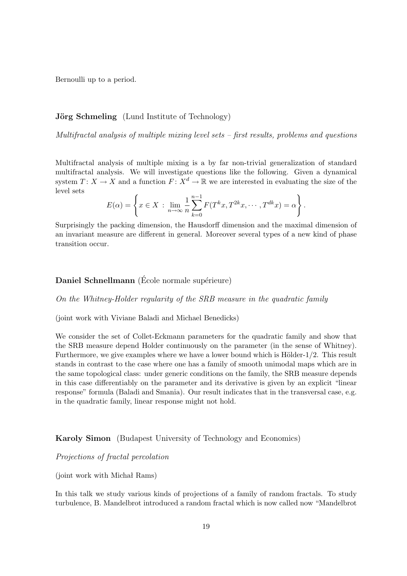Bernoulli up to a period.

## **Jörg Schmeling** (Lund Institute of Technology)

*Multifractal analysis of multiple mixing level sets – first results, problems and questions*

Multifractal analysis of multiple mixing is a by far non-trivial generalization of standard multifractal analysis. We will investigate questions like the following. Given a dynamical system  $T: X \to X$  and a function  $F: X^d \to \mathbb{R}$  we are interested in evaluating the size of the level sets

$$
E(\alpha) = \left\{ x \in X \, : \, \lim_{n \to \infty} \frac{1}{n} \sum_{k=0}^{n-1} F(T^k x, T^{2k} x, \cdots, T^{dk} x) = \alpha \right\}.
$$

Surprisingly the packing dimension, the Hausdorff dimension and the maximal dimension of an invariant measure are different in general. Moreover several types of a new kind of phase transition occur.

# **Daniel Schnellmann** (École normale supérieure)

*On the Whitney-Holder regularity of the SRB measure in the quadratic family*

(joint work with Viviane Baladi and Michael Benedicks)

We consider the set of Collet-Eckmann parameters for the quadratic family and show that the SRB measure depend Holder continuously on the parameter (in the sense of Whitney). Furthermore, we give examples where we have a lower bound which is Hölder- $1/2$ . This result stands in contrast to the case where one has a family of smooth unimodal maps which are in the same topological class: under generic conditions on the family, the SRB measure depends in this case differentiably on the parameter and its derivative is given by an explicit "linear response" formula (Baladi and Smania). Our result indicates that in the transversal case, e.g. in the quadratic family, linear response might not hold.

# **Karoly Simon** (Budapest University of Technology and Economics)

## *Projections of fractal percolation*

(joint work with Michał Rams)

In this talk we study various kinds of projections of a family of random fractals. To study turbulence, B. Mandelbrot introduced a random fractal which is now called now "Mandelbrot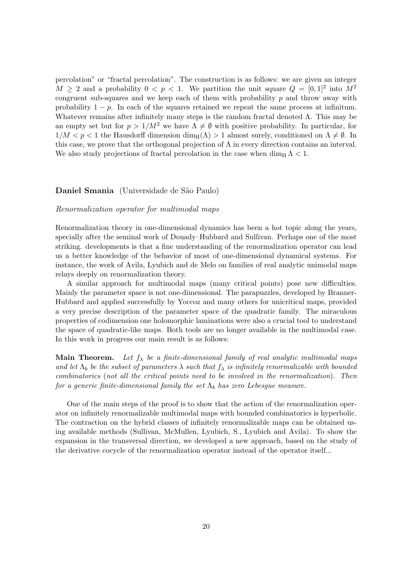percolation" or "fractal percolation". The construction is as follows: we are given an integer  $M \geq 2$  and a probability  $0 \lt p \lt 1$ . We partition the unit square  $Q = [0, 1]^2$  into  $M^2$ congruent sub-squares and we keep each of them with probability  $p$  and throw away with probability  $1 - p$ . In each of the squares retained we repeat the same process at infinitum. Whatever remains after infinitely many steps is the random fractal denoted Λ. This may be an empty set but for  $p > 1/M^2$  we have  $\Lambda \neq \emptyset$  with positive probability. In particular, for  $1/M < p < 1$  the Hausdorff dimension  $\dim_H(\Lambda) > 1$  almost surely, conditioned on  $\Lambda \neq \emptyset$ . In this case, we prove that the orthogonal projection of  $\Lambda$  in every direction contains an interval. We also study projections of fractal percolation in the case when  $\dim_{\text{H}} \Lambda < 1$ .

## **Daniel Smania** (Universidade de São Paulo)

#### *Renormalization operator for multimodal maps*

Renormalization theory in one-dimensional dynamics has been a hot topic along the years, specially after the seminal work of Douady–Hubbard and Sullivan. Perhaps one of the most striking. developments is that a fine understanding of the renormalization operator can lead us a better knowledge of the behavior of most of one-dimensional dynamical systems. For instance, the work of Avila, Lyubich and de Melo on families of real analytic unimodal maps relays deeply on renormalization theory.

A similar approach for multimodal maps (many critical points) pose new difficulties. Mainly the parameter space is not one-dimensional. The parapuzzles, developed by Branner-Hubbard and applied successfully by Yoccoz and many others for unicritical maps, provided a very precise description of the parameter space of the quadratic family. The miraculous properties of codimension one holomorphic laminations were also a crucial tool to understand the space of quadratic-like maps. Both tools are no longer available in the multimodal case. In this work in progress our main result is as follows:

**Main Theorem.** Let  $f_{\lambda}$  be a finite-dimensional family of real analytic multimodal maps *and let*  $\Lambda_b$  *be the subset of parameters*  $\lambda$  *such that*  $f_{\lambda}$  *is infinitely renormalizable with bounded combinatorics* (*not all the critical points need to be involved in the renormalization*)*. Then for a generic finite-dimensional family the set*  $\Lambda_b$  *has zero Lebesgue measure.* 

One of the main steps of the proof is to show that the action of the renormalization operator on infinitely renormalizable multimodal maps with bounded combinatorics is hyperbolic. The contraction on the hybrid classes of infinitely renormalizable maps can be obtained using available methods (Sullivan, McMullen, Lyubich, S., Lyubich and Avila). To show the expansion in the transversal direction, we developed a new approach, based on the study of the derivative cocycle of the renormalization operator instead of the operator itself...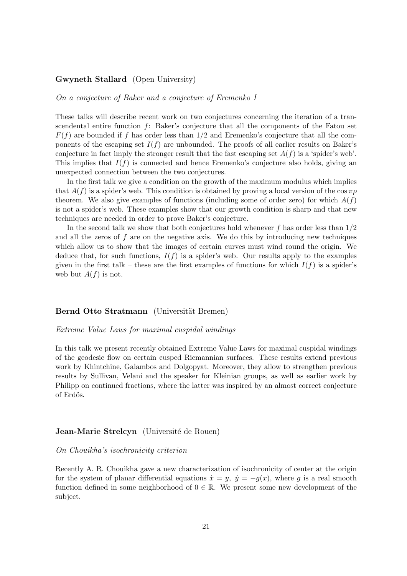## **Gwyneth Stallard** (Open University)

*On a conjecture of Baker and a conjecture of Eremenko I*

These talks will describe recent work on two conjectures concerning the iteration of a transcendental entire function f: Baker's conjecture that all the components of the Fatou set  $F(f)$  are bounded if f has order less than 1/2 and Eremenko's conjecture that all the components of the escaping set  $I(f)$  are unbounded. The proofs of all earlier results on Baker's conjecture in fact imply the stronger result that the fast escaping set  $A(f)$  is a 'spider's web'. This implies that  $I(f)$  is connected and hence Eremenko's conjecture also holds, giving an unexpected connection between the two conjectures.

In the first talk we give a condition on the growth of the maximum modulus which implies that  $A(f)$  is a spider's web. This condition is obtained by proving a local version of the cos  $\pi \rho$ theorem. We also give examples of functions (including some of order zero) for which  $A(f)$ is not a spider's web. These examples show that our growth condition is sharp and that new techniques are needed in order to prove Baker's conjecture.

In the second talk we show that both conjectures hold whenever f has order less than  $1/2$ and all the zeros of  $f$  are on the negative axis. We do this by introducing new techniques which allow us to show that the images of certain curves must wind round the origin. We deduce that, for such functions,  $I(f)$  is a spider's web. Our results apply to the examples given in the first talk – these are the first examples of functions for which  $I(f)$  is a spider's web but  $A(f)$  is not.

## **Bernd Otto Stratmann** (Universität Bremen)

#### *Extreme Value Laws for maximal cuspidal windings*

In this talk we present recently obtained Extreme Value Laws for maximal cuspidal windings of the geodesic flow on certain cusped Riemannian surfaces. These results extend previous work by Khintchine, Galambos and Dolgopyat. Moreover, they allow to strengthen previous results by Sullivan, Velani and the speaker for Kleinian groups, as well as earlier work by Philipp on continued fractions, where the latter was inspired by an almost correct conjecture of Erdös.

#### **Jean-Marie Strelcyn** (Université de Rouen)

#### *On Chouikha's isochronicity criterion*

Recently A. R. Chouikha gave a new characterization of isochronicity of center at the origin for the system of planar differential equations  $\dot{x} = y$ ,  $\dot{y} = -g(x)$ , where g is a real smooth function defined in some neighborhood of  $0 \in \mathbb{R}$ . We present some new development of the subject.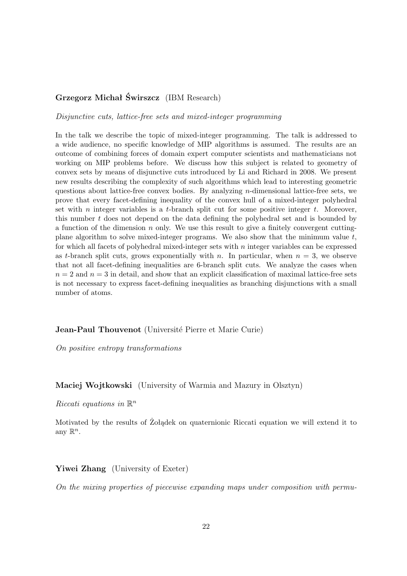# **Grzegorz Michał Świrszcz** (IBM Research)

*Disjunctive cuts, lattice-free sets and mixed-integer programming*

In the talk we describe the topic of mixed-integer programming. The talk is addressed to a wide audience, no specific knowledge of MIP algorithms is assumed. The results are an outcome of combining forces of domain expert computer scientists and mathematicians not working on MIP problems before. We discuss how this subject is related to geometry of convex sets by means of disjunctive cuts introduced by Li and Richard in 2008. We present new results describing the complexity of such algorithms which lead to interesting geometric questions about lattice-free convex bodies. By analyzing  $n$ -dimensional lattice-free sets, we prove that every facet-defining inequality of the convex hull of a mixed-integer polyhedral set with  $n$  integer variables is a t-branch split cut for some positive integer  $t$ . Moreover, this number t does not depend on the data defining the polyhedral set and is bounded by a function of the dimension  $n$  only. We use this result to give a finitely convergent cuttingplane algorithm to solve mixed-integer programs. We also show that the minimum value  $t$ , for which all facets of polyhedral mixed-integer sets with  $n$  integer variables can be expressed as t-branch split cuts, grows exponentially with n. In particular, when  $n = 3$ , we observe that not all facet-defining inequalities are 6-branch split cuts. We analyze the cases when  $n = 2$  and  $n = 3$  in detail, and show that an explicit classification of maximal lattice-free sets is not necessary to express facet-defining inequalities as branching disjunctions with a small number of atoms.

**Jean-Paul Thouvenot** (Université Pierre et Marie Curie)

*On positive entropy transformations*

**Maciej Wojtkowski** (University of Warmia and Mazury in Olsztyn)

*Riccati equations in* R n

Motivated by the results of Żołądek on quaternionic Riccati equation we will extend it to any  $\mathbb{R}^n$ .

Yiwei Zhang (University of Exeter)

*On the mixing properties of piecewise expanding maps under composition with permu-*